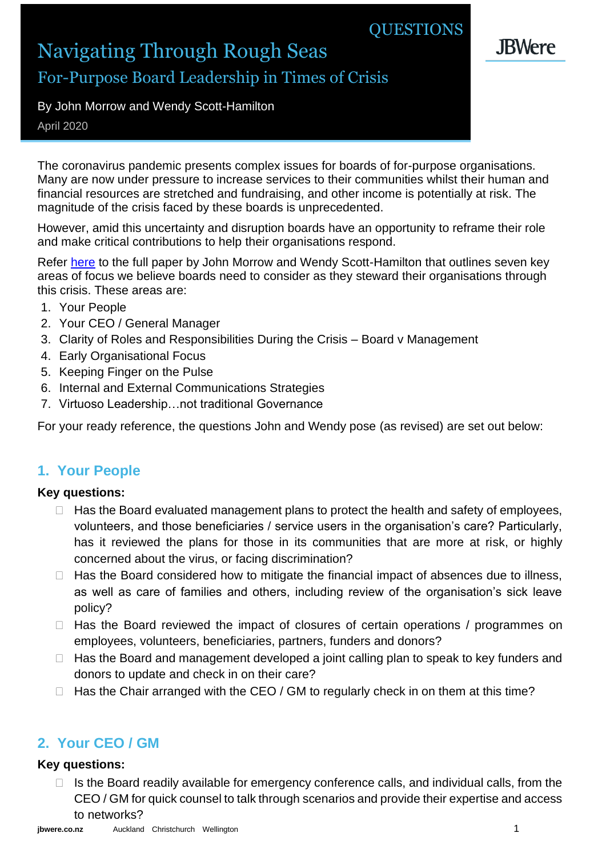# **QUESTIONS**

**.JBWere** 

# Navigating Through Rough Seas For-Purpose Board Leadership in Times of Crisis

# By John Morrow and Wendy Scott-Hamilton

April 2020

The coronavirus pandemic presents complex issues for boards of for-purpose organisations. Many are now under pressure to increase services to their communities whilst their human and financial resources are stretched and fundraising, and other income is potentially at risk. The magnitude of the crisis faced by these boards is unprecedented.

However, amid this uncertainty and disruption boards have an opportunity to reframe their role and make critical contributions to help their organisations respond.

Refer [here](https://www.jbwere.co.nz/media/fjxbb5xf/early-response-paper_covid19_fpo.pdf) to the full paper by John Morrow and Wendy Scott-Hamilton that outlines seven key areas of focus we believe boards need to consider as they steward their organisations through this crisis. These areas are:

- 1. Your People
- 2. Your CEO / General Manager
- 3. Clarity of Roles and Responsibilities During the Crisis Board v Management
- 4. Early Organisational Focus
- 5. Keeping Finger on the Pulse
- 6. Internal and External Communications Strategies
- 7. Virtuoso Leadership…not traditional Governance

For your ready reference, the questions John and Wendy pose (as revised) are set out below:

# **1. Your People**

#### **Key questions:**

- $\Box$  Has the Board evaluated management plans to protect the health and safety of employees, volunteers, and those beneficiaries / service users in the organisation's care? Particularly, has it reviewed the plans for those in its communities that are more at risk, or highly concerned about the virus, or facing discrimination?
- $\Box$  Has the Board considered how to mitigate the financial impact of absences due to illness, as well as care of families and others, including review of the organisation's sick leave policy?
- $\Box$  Has the Board reviewed the impact of closures of certain operations / programmes on employees, volunteers, beneficiaries, partners, funders and donors?
- $\Box$  Has the Board and management developed a joint calling plan to speak to key funders and donors to update and check in on their care?
- $\Box$  Has the Chair arranged with the CEO / GM to regularly check in on them at this time?

# **2. Your CEO / GM**

#### **Key questions:**

 $\Box$  Is the Board readily available for emergency conference calls, and individual calls, from the CEO / GM for quick counsel to talk through scenarios and provide their expertise and access to networks?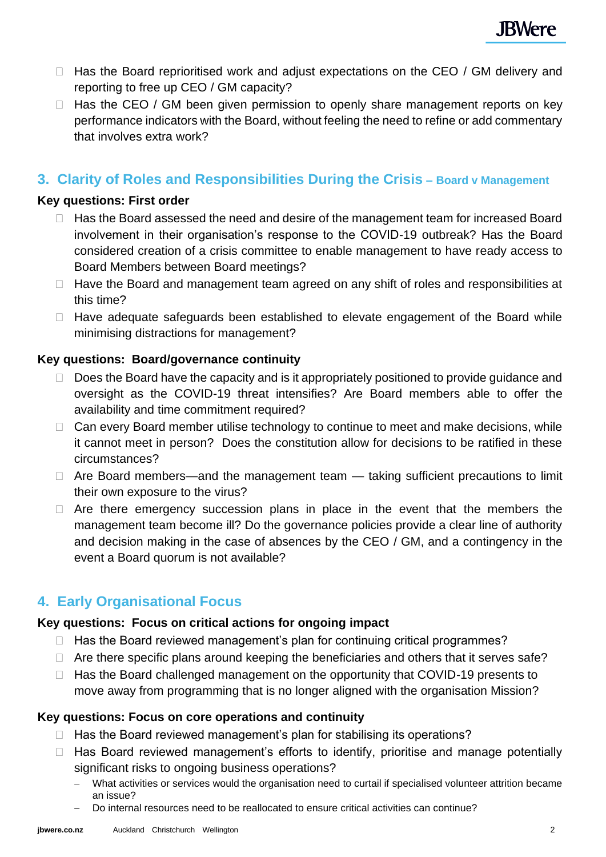- $\Box$  Has the Board reprioritised work and adjust expectations on the CEO / GM delivery and reporting to free up CEO / GM capacity?
- $\Box$  Has the CEO / GM been given permission to openly share management reports on key performance indicators with the Board, without feeling the need to refine or add commentary that involves extra work?

### **3. Clarity of Roles and Responsibilities During the Crisis – Board v Management**

#### **Key questions: First order**

- $\Box$  Has the Board assessed the need and desire of the management team for increased Board involvement in their organisation's response to the COVID-19 outbreak? Has the Board considered creation of a crisis committee to enable management to have ready access to Board Members between Board meetings?
- $\Box$  Have the Board and management team agreed on any shift of roles and responsibilities at this time?
- $\Box$  Have adequate safeguards been established to elevate engagement of the Board while minimising distractions for management?

#### **Key questions: Board/governance continuity**

- Does the Board have the capacity and is it appropriately positioned to provide guidance and oversight as the COVID-19 threat intensifies? Are Board members able to offer the availability and time commitment required?
- $\Box$  Can every Board member utilise technology to continue to meet and make decisions, while it cannot meet in person? Does the constitution allow for decisions to be ratified in these circumstances?
- $\Box$  Are Board members—and the management team taking sufficient precautions to limit their own exposure to the virus?
- $\Box$  Are there emergency succession plans in place in the event that the members the management team become ill? Do the governance policies provide a clear line of authority and decision making in the case of absences by the CEO / GM, and a contingency in the event a Board quorum is not available?

### **4. Early Organisational Focus**

#### **Key questions: Focus on critical actions for ongoing impact**

- $\Box$  Has the Board reviewed management's plan for continuing critical programmes?
- $\Box$  Are there specific plans around keeping the beneficiaries and others that it serves safe?
- $\Box$  Has the Board challenged management on the opportunity that COVID-19 presents to move away from programming that is no longer aligned with the organisation Mission?

#### **Key questions: Focus on core operations and continuity**

- $\Box$  Has the Board reviewed management's plan for stabilising its operations?
- $\Box$  Has Board reviewed management's efforts to identify, prioritise and manage potentially significant risks to ongoing business operations?
	- − What activities or services would the organisation need to curtail if specialised volunteer attrition became an issue?
	- − Do internal resources need to be reallocated to ensure critical activities can continue?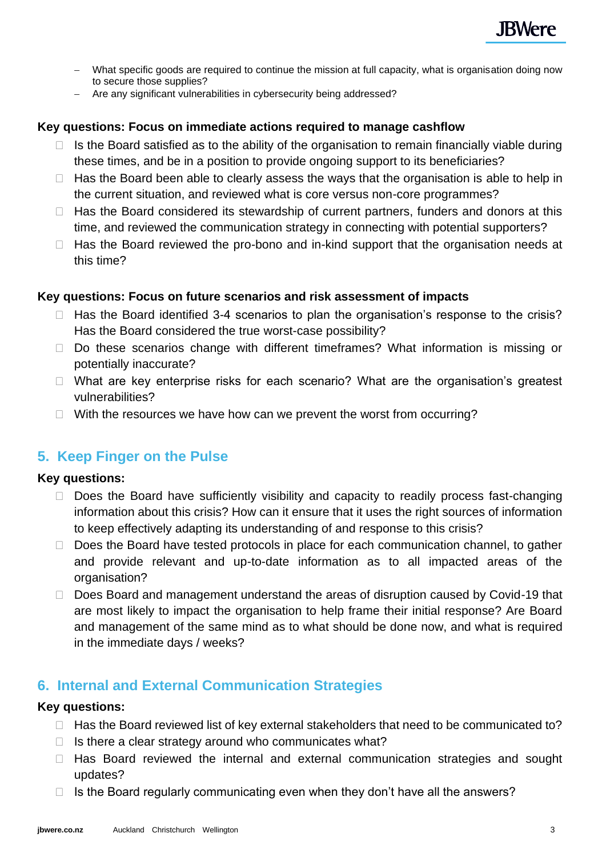- − What specific goods are required to continue the mission at full capacity, what is organisation doing now to secure those supplies?
- − Are any significant vulnerabilities in cybersecurity being addressed?

#### **Key questions: Focus on immediate actions required to manage cashflow**

- $\Box$  Is the Board satisfied as to the ability of the organisation to remain financially viable during these times, and be in a position to provide ongoing support to its beneficiaries?
- $\Box$  Has the Board been able to clearly assess the ways that the organisation is able to help in the current situation, and reviewed what is core versus non-core programmes?
- $\Box$  Has the Board considered its stewardship of current partners, funders and donors at this time, and reviewed the communication strategy in connecting with potential supporters?
- $\Box$  Has the Board reviewed the pro-bono and in-kind support that the organisation needs at this time?

#### **Key questions: Focus on future scenarios and risk assessment of impacts**

- $\Box$  Has the Board identified 3-4 scenarios to plan the organisation's response to the crisis? Has the Board considered the true worst-case possibility?
- $\Box$  Do these scenarios change with different timeframes? What information is missing or potentially inaccurate?
- $\Box$  What are key enterprise risks for each scenario? What are the organisation's greatest vulnerabilities?
- $\Box$  With the resources we have how can we prevent the worst from occurring?

# **5. Keep Finger on the Pulse**

#### **Key questions:**

- $\Box$  Does the Board have sufficiently visibility and capacity to readily process fast-changing information about this crisis? How can it ensure that it uses the right sources of information to keep effectively adapting its understanding of and response to this crisis?
- $\Box$  Does the Board have tested protocols in place for each communication channel, to gather and provide relevant and up-to-date information as to all impacted areas of the organisation?
- □ Does Board and management understand the areas of disruption caused by Covid-19 that are most likely to impact the organisation to help frame their initial response? Are Board and management of the same mind as to what should be done now, and what is required in the immediate days / weeks?

# **6. Internal and External Communication Strategies**

#### **Key questions:**

- $\Box$  Has the Board reviewed list of key external stakeholders that need to be communicated to?
- $\Box$  Is there a clear strategy around who communicates what?
- $\Box$  Has Board reviewed the internal and external communication strategies and sought updates?
- $\Box$  Is the Board regularly communicating even when they don't have all the answers?